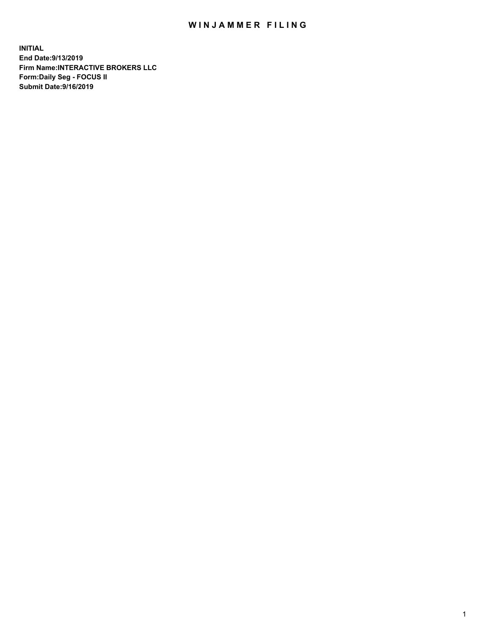## WIN JAMMER FILING

**INITIAL End Date:9/13/2019 Firm Name:INTERACTIVE BROKERS LLC Form:Daily Seg - FOCUS II Submit Date:9/16/2019**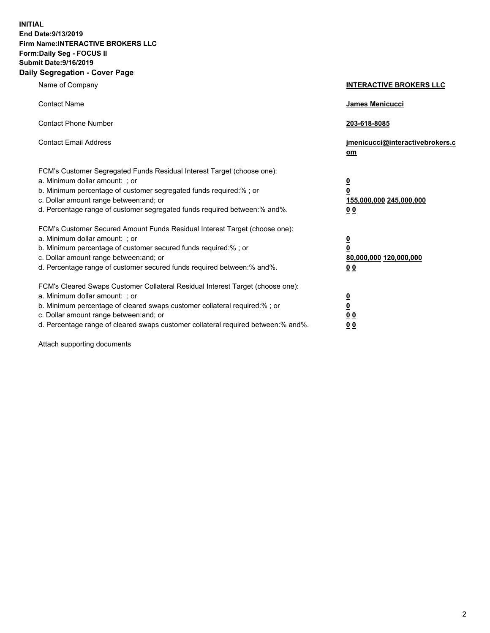**INITIAL End Date:9/13/2019 Firm Name:INTERACTIVE BROKERS LLC Form:Daily Seg - FOCUS II Submit Date:9/16/2019 Daily Segregation - Cover Page**

| Name of Company                                                                                                                                                                                                                                                                                                                | <b>INTERACTIVE BROKERS LLC</b>                                                                  |
|--------------------------------------------------------------------------------------------------------------------------------------------------------------------------------------------------------------------------------------------------------------------------------------------------------------------------------|-------------------------------------------------------------------------------------------------|
| <b>Contact Name</b>                                                                                                                                                                                                                                                                                                            | James Menicucci                                                                                 |
| <b>Contact Phone Number</b>                                                                                                                                                                                                                                                                                                    | 203-618-8085                                                                                    |
| <b>Contact Email Address</b>                                                                                                                                                                                                                                                                                                   | jmenicucci@interactivebrokers.c<br>om                                                           |
| FCM's Customer Segregated Funds Residual Interest Target (choose one):<br>a. Minimum dollar amount: ; or<br>b. Minimum percentage of customer segregated funds required:% ; or<br>c. Dollar amount range between: and; or<br>d. Percentage range of customer segregated funds required between:% and%.                         | $\overline{\mathbf{0}}$<br>$\overline{\mathbf{0}}$<br>155,000,000 245,000,000<br>0 <sub>0</sub> |
| FCM's Customer Secured Amount Funds Residual Interest Target (choose one):<br>a. Minimum dollar amount: ; or<br>b. Minimum percentage of customer secured funds required:%; or<br>c. Dollar amount range between: and; or<br>d. Percentage range of customer secured funds required between:% and%.                            | $\overline{\mathbf{0}}$<br>$\overline{\mathbf{0}}$<br>80,000,000 120,000,000<br>00              |
| FCM's Cleared Swaps Customer Collateral Residual Interest Target (choose one):<br>a. Minimum dollar amount: ; or<br>b. Minimum percentage of cleared swaps customer collateral required:% ; or<br>c. Dollar amount range between: and; or<br>d. Percentage range of cleared swaps customer collateral required between:% and%. | $\overline{\mathbf{0}}$<br>$\underline{\mathbf{0}}$<br>0 <sub>0</sub><br>0 <sub>0</sub>         |

Attach supporting documents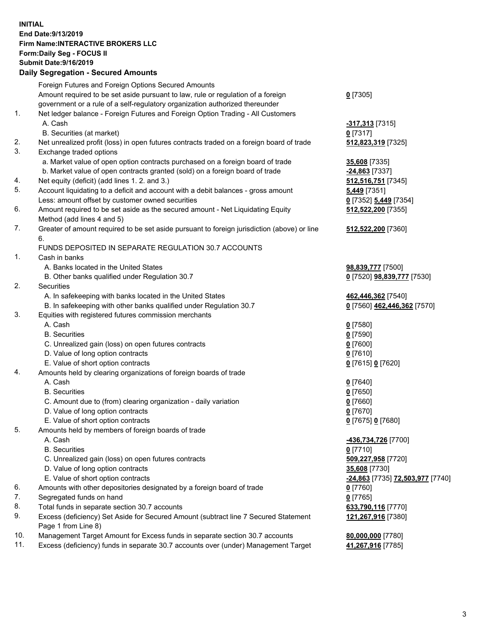## **INITIAL End Date:9/13/2019 Firm Name:INTERACTIVE BROKERS LLC Form:Daily Seg - FOCUS II Submit Date:9/16/2019 Daily Segregation - Secured Amounts**

|          | Daily Segregation - Secured Aniounts                                                        |                                          |
|----------|---------------------------------------------------------------------------------------------|------------------------------------------|
|          | Foreign Futures and Foreign Options Secured Amounts                                         |                                          |
|          | Amount required to be set aside pursuant to law, rule or regulation of a foreign            | $0$ [7305]                               |
|          | government or a rule of a self-regulatory organization authorized thereunder                |                                          |
| 1.       | Net ledger balance - Foreign Futures and Foreign Option Trading - All Customers             |                                          |
|          | A. Cash                                                                                     | -317,313 [7315]                          |
|          | B. Securities (at market)                                                                   | $0$ [7317]                               |
| 2.       | Net unrealized profit (loss) in open futures contracts traded on a foreign board of trade   | 512,823,319 [7325]                       |
| 3.       | Exchange traded options                                                                     |                                          |
|          | a. Market value of open option contracts purchased on a foreign board of trade              | 35,608 [7335]                            |
|          | b. Market value of open contracts granted (sold) on a foreign board of trade                | -24,863 [7337]                           |
| 4.       | Net equity (deficit) (add lines 1.2. and 3.)                                                | 512,516,751 [7345]                       |
| 5.       | Account liquidating to a deficit and account with a debit balances - gross amount           | <b>5,449</b> [7351]                      |
|          | Less: amount offset by customer owned securities                                            | 0 [7352] 5,449 [7354]                    |
| 6.       | Amount required to be set aside as the secured amount - Net Liquidating Equity              | 512,522,200 [7355]                       |
|          | Method (add lines 4 and 5)                                                                  |                                          |
| 7.       | Greater of amount required to be set aside pursuant to foreign jurisdiction (above) or line | 512,522,200 [7360]                       |
|          | 6.                                                                                          |                                          |
|          | FUNDS DEPOSITED IN SEPARATE REGULATION 30.7 ACCOUNTS                                        |                                          |
| 1.       | Cash in banks                                                                               |                                          |
|          | A. Banks located in the United States                                                       | 98,839,777 [7500]                        |
|          | B. Other banks qualified under Regulation 30.7                                              | 0 [7520] <b>98,839,777</b> [7530]        |
| 2.       | Securities                                                                                  |                                          |
|          | A. In safekeeping with banks located in the United States                                   | 462,446,362 [7540]                       |
|          | B. In safekeeping with other banks qualified under Regulation 30.7                          | 0 [7560] 462,446,362 [7570]              |
| 3.       | Equities with registered futures commission merchants                                       |                                          |
|          | A. Cash                                                                                     | $0$ [7580]                               |
|          | <b>B.</b> Securities                                                                        | $0$ [7590]                               |
|          | C. Unrealized gain (loss) on open futures contracts                                         | $0$ [7600]                               |
|          | D. Value of long option contracts                                                           | $0$ [7610]                               |
|          | E. Value of short option contracts                                                          | 0 [7615] 0 [7620]                        |
| 4.       | Amounts held by clearing organizations of foreign boards of trade                           |                                          |
|          | A. Cash                                                                                     | $0$ [7640]                               |
|          | <b>B.</b> Securities                                                                        | $0$ [7650]                               |
|          | C. Amount due to (from) clearing organization - daily variation                             | $0$ [7660]                               |
|          | D. Value of long option contracts                                                           | $0$ [7670]                               |
|          | E. Value of short option contracts                                                          | 0 [7675] 0 [7680]                        |
| 5.       | Amounts held by members of foreign boards of trade                                          |                                          |
|          | A. Cash                                                                                     | 436,734,726 [7700]                       |
|          | <b>B.</b> Securities                                                                        | $0$ [7710]                               |
|          | C. Unrealized gain (loss) on open futures contracts                                         | 509,227,958 [7720]                       |
|          | D. Value of long option contracts                                                           | 35,608 [7730]                            |
|          | E. Value of short option contracts                                                          | -24,863 [7735] 72,503,977 [7740]         |
| 6.<br>7. | Amounts with other depositories designated by a foreign board of trade                      | 0 [7760]                                 |
| 8.       | Segregated funds on hand<br>Total funds in separate section 30.7 accounts                   | $0$ [7765]                               |
| 9.       | Excess (deficiency) Set Aside for Secured Amount (subtract line 7 Secured Statement         | 633,790,116 [7770]<br>121,267,916 [7380] |
|          | Page 1 from Line 8)                                                                         |                                          |
| 10.      | Management Target Amount for Excess funds in separate section 30.7 accounts                 | 80,000,000 [7780]                        |
| 11.      | Excess (deficiency) funds in separate 30.7 accounts over (under) Management Target          | 41,267,916 [7785]                        |
|          |                                                                                             |                                          |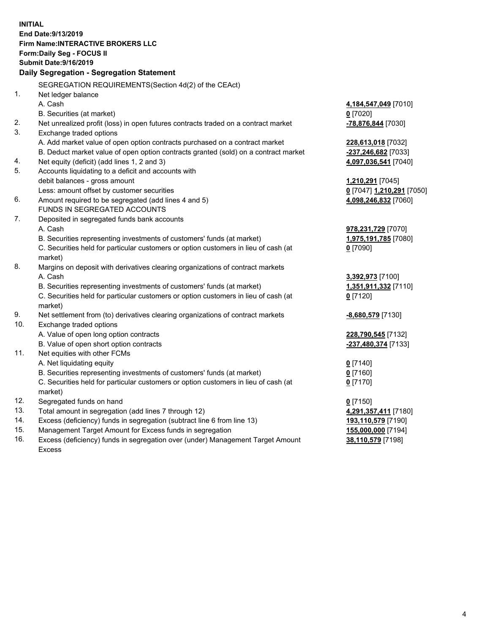**INITIAL End Date:9/13/2019 Firm Name:INTERACTIVE BROKERS LLC Form:Daily Seg - FOCUS II Submit Date:9/16/2019 Daily Segregation - Segregation Statement** SEGREGATION REQUIREMENTS(Section 4d(2) of the CEAct) 1. Net ledger balance A. Cash **4,184,547,049** [7010] B. Securities (at market) **0** [7020] 2. Net unrealized profit (loss) in open futures contracts traded on a contract market **-78,876,844** [7030] 3. Exchange traded options A. Add market value of open option contracts purchased on a contract market **228,613,018** [7032] B. Deduct market value of open option contracts granted (sold) on a contract market **-237,246,682** [7033] 4. Net equity (deficit) (add lines 1, 2 and 3) **4,097,036,541** [7040] 5. Accounts liquidating to a deficit and accounts with debit balances - gross amount **1,210,291** [7045] Less: amount offset by customer securities **0** [7047] **1,210,291** [7050] 6. Amount required to be segregated (add lines 4 and 5) **4,098,246,832** [7060] FUNDS IN SEGREGATED ACCOUNTS 7. Deposited in segregated funds bank accounts A. Cash **978,231,729** [7070] B. Securities representing investments of customers' funds (at market) **1,975,191,785** [7080] C. Securities held for particular customers or option customers in lieu of cash (at market) **0** [7090] 8. Margins on deposit with derivatives clearing organizations of contract markets A. Cash **3,392,973** [7100] B. Securities representing investments of customers' funds (at market) **1,351,911,332** [7110] C. Securities held for particular customers or option customers in lieu of cash (at market) **0** [7120] 9. Net settlement from (to) derivatives clearing organizations of contract markets **-8,680,579** [7130] 10. Exchange traded options A. Value of open long option contracts **228,790,545** [7132] B. Value of open short option contracts **-237,480,374** [7133] 11. Net equities with other FCMs A. Net liquidating equity **0** [7140] B. Securities representing investments of customers' funds (at market) **0** [7160] C. Securities held for particular customers or option customers in lieu of cash (at market) **0** [7170] 12. Segregated funds on hand **0** [7150] 13. Total amount in segregation (add lines 7 through 12) **4,291,357,411** [7180] 14. Excess (deficiency) funds in segregation (subtract line 6 from line 13) **193,110,579** [7190] 15. Management Target Amount for Excess funds in segregation **155,000,000** [7194]

16. Excess (deficiency) funds in segregation over (under) Management Target Amount Excess

**38,110,579** [7198]